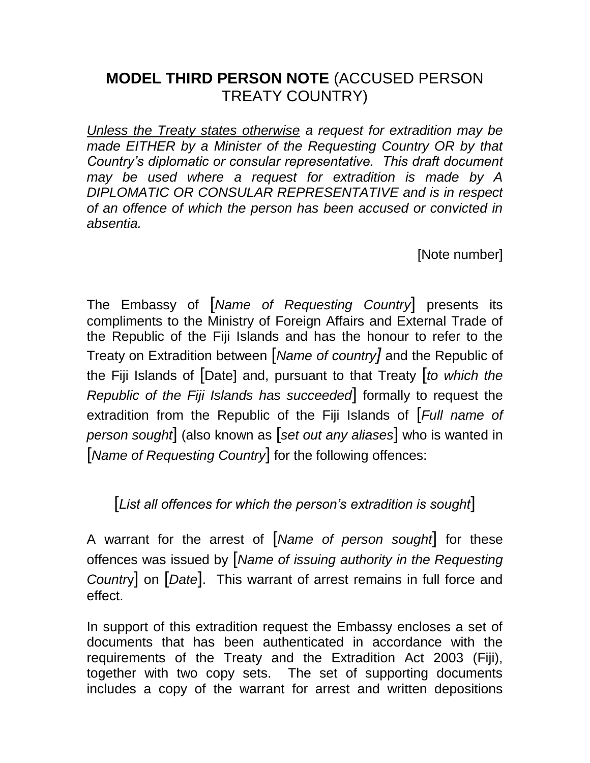## **MODEL THIRD PERSON NOTE** (ACCUSED PERSON TREATY COUNTRY)

*Unless the Treaty states otherwise a request for extradition may be made EITHER by a Minister of the Requesting Country OR by that Country's diplomatic or consular representative. This draft document may be used where a request for extradition is made by A DIPLOMATIC OR CONSULAR REPRESENTATIVE and is in respect of an offence of which the person has been accused or convicted in absentia.*

[Note number]

The Embassy of [*Name of Requesting Country*] presents its compliments to the Ministry of Foreign Affairs and External Trade of the Republic of the Fiji Islands and has the honour to refer to the Treaty on Extradition between [*Name of country]* and the Republic of the Fiji Islands of [Date] and, pursuant to that Treaty [*to which the Republic of the Fiji Islands has succeeded*] formally to request the extradition from the Republic of the Fiji Islands of [*Full name of person sought*] (also known as [*set out any aliases*] who is wanted in [*Name of Requesting Country*] for the following offences:

[*List all offences for which the person's extradition is sought*]

A warrant for the arrest of [*Name of person sought*] for these offences was issued by [*Name of issuing authority in the Requesting Countr*y] on [*Date*]. This warrant of arrest remains in full force and effect.

In support of this extradition request the Embassy encloses a set of documents that has been authenticated in accordance with the requirements of the Treaty and the Extradition Act 2003 (Fiji), together with two copy sets. The set of supporting documents includes a copy of the warrant for arrest and written depositions